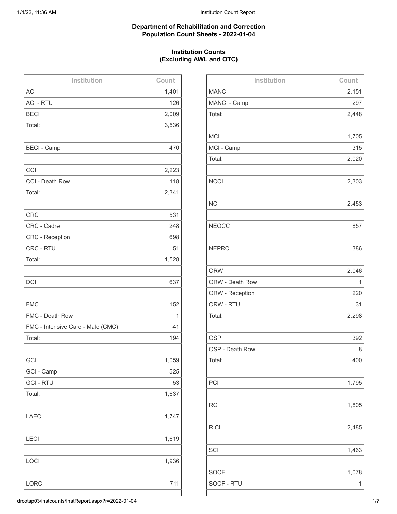### **Department of Rehabilitation and Correction Population Count Sheets - 2022-01-04**

# **Institution Counts (Excluding AWL and OTC)**

| Institution                       | Count |
|-----------------------------------|-------|
| <b>ACI</b>                        | 1,401 |
| <b>ACI - RTU</b>                  | 126   |
| <b>BECI</b>                       | 2,009 |
| Total:                            | 3,536 |
|                                   |       |
| <b>BECI - Camp</b>                | 470   |
|                                   |       |
| CCI                               | 2,223 |
| CCI - Death Row                   | 118   |
| Total:                            | 2,341 |
|                                   |       |
| <b>CRC</b>                        | 531   |
| CRC - Cadre                       | 248   |
| <b>CRC</b> - Reception            | 698   |
| CRC - RTU                         | 51    |
| Total:                            | 1,528 |
|                                   |       |
| <b>DCI</b>                        | 637   |
|                                   |       |
| <b>FMC</b>                        | 152   |
| FMC - Death Row                   | 1     |
| FMC - Intensive Care - Male (CMC) | 41    |
| Total:                            | 194   |
|                                   |       |
| GCI                               | 1,059 |
| GCI - Camp                        | 525   |
| <b>GCI-RTU</b>                    | 53    |
| Total:                            | 1,637 |
|                                   |       |
| <b>LAECI</b>                      | 1,747 |
|                                   |       |
| <b>LECI</b>                       | 1,619 |
|                                   |       |
| LOCI                              | 1,936 |
|                                   |       |
| <b>LORCI</b>                      | 711   |
|                                   |       |

| Institution     | Count |
|-----------------|-------|
| <b>MANCI</b>    | 2,151 |
| MANCI - Camp    | 297   |
| Total:          | 2,448 |
|                 |       |
| <b>MCI</b>      | 1,705 |
| MCI - Camp      | 315   |
| Total:          | 2,020 |
|                 |       |
| <b>NCCI</b>     | 2,303 |
|                 |       |
| <b>NCI</b>      | 2,453 |
|                 |       |
| <b>NEOCC</b>    | 857   |
|                 |       |
| <b>NEPRC</b>    | 386   |
|                 |       |
| <b>ORW</b>      | 2,046 |
| ORW - Death Row | 1     |
| ORW - Reception | 220   |
| ORW - RTU       | 31    |
| Total:          | 2,298 |
|                 |       |
| <b>OSP</b>      | 392   |
| OSP - Death Row | 8     |
| Total:          | 400   |
|                 |       |
| PCI             | 1,795 |
|                 |       |
| <b>RCI</b>      | 1,805 |
|                 |       |
| <b>RICI</b>     | 2,485 |
|                 |       |
| SCI             | 1,463 |
|                 |       |
| <b>SOCF</b>     | 1,078 |
| SOCF - RTU      | 1     |
|                 |       |

drcotsp03/instcounts/InstReport.aspx?r=2022-01-04 1/7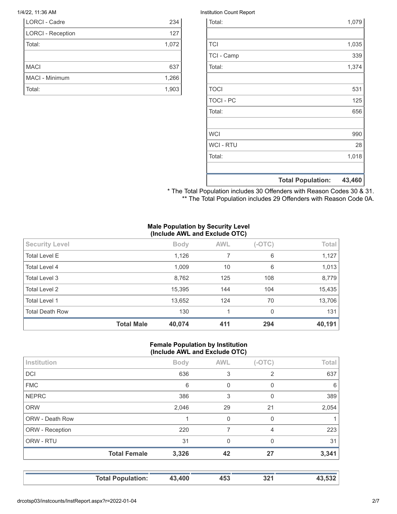| <b>LORCI - Cadre</b>     | 234   |
|--------------------------|-------|
| <b>LORCI - Reception</b> | 127   |
| Total:                   | 1,072 |
|                          |       |
| <b>MACI</b>              | 637   |
| MACI - Minimum           | 1,266 |
| Total:                   | 1,903 |

#### 1/4/22, 11:36 AM Institution Count Report

|                  | <b>Total Population:</b> | 43,460 |
|------------------|--------------------------|--------|
|                  |                          |        |
| Total:           |                          | 1,018  |
| <b>WCI - RTU</b> |                          | 28     |
| <b>WCI</b>       |                          | 990    |
|                  |                          |        |
| Total:           |                          | 656    |
| <b>TOCI - PC</b> |                          | 125    |
| <b>TOCI</b>      |                          | 531    |
|                  |                          |        |
| Total:           |                          | 1,374  |
| TCI - Camp       |                          | 339    |
| <b>TCI</b>       |                          | 1,035  |
|                  |                          |        |
| Total:           |                          | 1,079  |

\* The Total Population includes 30 Offenders with Reason Codes 30 & 31. \*\* The Total Population includes 29 Offenders with Reason Code 0A.

### **Male Population by Security Level (Include AWL and Exclude OTC)**

|                        | <b>Total Male</b> | 40,074      | 411        | 294      | 40,191 |
|------------------------|-------------------|-------------|------------|----------|--------|
| <b>Total Death Row</b> |                   | 130         |            | 0        | 131    |
| Total Level 1          |                   | 13,652      | 124        | 70       | 13,706 |
| Total Level 2          |                   | 15,395      | 144        | 104      | 15,435 |
| Total Level 3          |                   | 8,762       | 125        | 108      | 8,779  |
| Total Level 4          |                   | 1,009       | 10         | 6        | 1,013  |
| <b>Total Level E</b>   |                   | 1,126       |            | 6        | 1,127  |
| <b>Security Level</b>  |                   | <b>Body</b> | <b>AWL</b> | $(-OTC)$ | Total  |
|                        |                   |             |            |          |        |

#### **Female Population by Institution (Include AWL and Exclude OTC)**

| Institution     |                     | <b>Body</b> | <b>AWL</b> | $(-OTC)$       | Total |
|-----------------|---------------------|-------------|------------|----------------|-------|
| DCI             |                     | 636         | 3          | $\overline{2}$ | 637   |
| <b>FMC</b>      |                     | 6           | $\Omega$   | 0              | 6     |
| <b>NEPRC</b>    |                     | 386         | 3          | 0              | 389   |
| <b>ORW</b>      |                     | 2,046       | 29         | 21             | 2,054 |
| ORW - Death Row |                     |             | $\Omega$   | 0              | 1     |
| ORW - Reception |                     | 220         | 7          | 4              | 223   |
| ORW - RTU       |                     | 31          | $\Omega$   | $\Omega$       | 31    |
|                 | <b>Total Female</b> | 3,326       | 42         | 27             | 3,341 |
|                 |                     |             |            |                |       |
|                 |                     |             |            |                |       |

**Total Population: 43,400 453 321 43,532**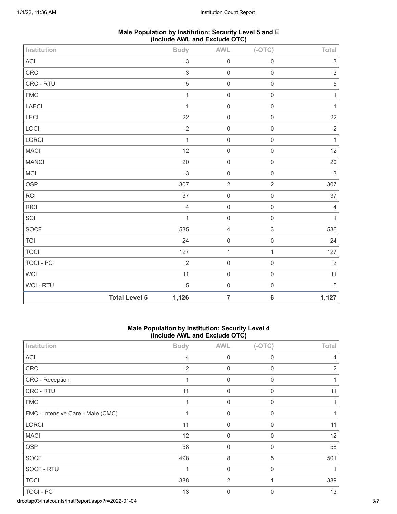| Male Population by Institution: Security Level 5 and E |  |
|--------------------------------------------------------|--|
| (Include AWL and Exclude OTC)                          |  |

| Institution  |                      | <b>Body</b>               | AWL                 | $(-OTC)$                  | Total                     |
|--------------|----------------------|---------------------------|---------------------|---------------------------|---------------------------|
| $\sf ACI$    |                      | $\sqrt{3}$                | $\mathbf 0$         | $\mathbf 0$               | $\ensuremath{\mathsf{3}}$ |
| CRC          |                      | $\ensuremath{\mathsf{3}}$ | $\mathsf{O}\xspace$ | $\mathsf{O}\xspace$       | $\ensuremath{\mathsf{3}}$ |
| CRC - RTU    |                      | $\mathbf 5$               | $\boldsymbol{0}$    | $\mathsf{O}\xspace$       | $\,$ 5 $\,$               |
| ${\sf FMC}$  |                      | $\mathbf{1}$              | $\mbox{O}$          | $\mathsf 0$               | $\mathbf{1}$              |
| LAECI        |                      | $\mathbf{1}$              | $\mbox{O}$          | $\mathsf 0$               | $\mathbf{1}$              |
| LECI         |                      | 22                        | $\boldsymbol{0}$    | $\mathbf 0$               | 22                        |
| LOCI         |                      | $\sqrt{2}$                | $\mathsf{O}\xspace$ | $\mathbf 0$               | $\sqrt{2}$                |
| LORCI        |                      | $\mathbf{1}$              | $\mathsf{O}\xspace$ | $\mathbf 0$               | $\mathbf{1}$              |
| MACI         |                      | 12                        | $\mathsf{O}\xspace$ | $\mathbf 0$               | 12                        |
| <b>MANCI</b> |                      | 20                        | $\mathbf 0$         | $\mathsf{O}\xspace$       | $20\,$                    |
| <b>MCI</b>   |                      | $\sqrt{3}$                | $\boldsymbol{0}$    | $\mathsf{O}\xspace$       | $\,$ 3 $\,$               |
| <b>OSP</b>   |                      | 307                       | $\sqrt{2}$          | $\sqrt{2}$                | 307                       |
| <b>RCI</b>   |                      | 37                        | $\mbox{O}$          | $\mathbf 0$               | 37                        |
| <b>RICI</b>  |                      | $\overline{4}$            | $\mathsf{O}\xspace$ | $\mathbf 0$               | $\overline{4}$            |
| SCI          |                      | $\mathbf{1}$              | $\mathbf 0$         | $\mathsf{O}\xspace$       | $\mathbf{1}$              |
| SOCF         |                      | 535                       | $\sqrt{4}$          | $\ensuremath{\mathsf{3}}$ | 536                       |
| <b>TCI</b>   |                      | 24                        | $\mathbf 0$         | $\mathbf 0$               | 24                        |
| <b>TOCI</b>  |                      | 127                       | $\mathbf{1}$        | $\mathbf{1}$              | 127                       |
| TOCI - PC    |                      | $\overline{2}$            | $\mathbf 0$         | $\mathsf{O}\xspace$       | $\overline{2}$            |
| WCI          |                      | 11                        | $\mathbf 0$         | $\mathsf 0$               | 11                        |
| WCI - RTU    |                      | $\sqrt{5}$                | $\mathsf{O}\xspace$ | $\mathsf 0$               | $\sqrt{5}$                |
|              | <b>Total Level 5</b> | 1,126                     | $\overline{7}$      | $\bf 6$                   | 1,127                     |

### **Male Population by Institution: Security Level 4 (Include AWL and Exclude OTC)**

| Institution                       | <b>Body</b>    | <b>AWL</b>  | $(-OTC)$    | Total          |
|-----------------------------------|----------------|-------------|-------------|----------------|
| ACI                               | 4              | $\mathbf 0$ | 0           | 4              |
| CRC                               | $\overline{2}$ | 0           | 0           | $\overline{2}$ |
| CRC - Reception                   |                | $\mathbf 0$ | 0           |                |
| CRC - RTU                         | 11             | $\mathbf 0$ | $\mathbf 0$ | 11             |
| <b>FMC</b>                        | 1              | 0           | $\mathbf 0$ | 1              |
| FMC - Intensive Care - Male (CMC) |                | $\mathbf 0$ | 0           |                |
| <b>LORCI</b>                      | 11             | $\mathbf 0$ | 0           | 11             |
| <b>MACI</b>                       | 12             | $\mathbf 0$ | $\mathbf 0$ | 12             |
| <b>OSP</b>                        | 58             | $\mathbf 0$ | $\Omega$    | 58             |
| <b>SOCF</b>                       | 498            | 8           | 5           | 501            |
| SOCF - RTU                        | 1              | 0           | $\Omega$    |                |
| <b>TOCI</b>                       | 388            | 2           |             | 389            |
| TOCI - PC                         | 13             | 0           | 0           | 13             |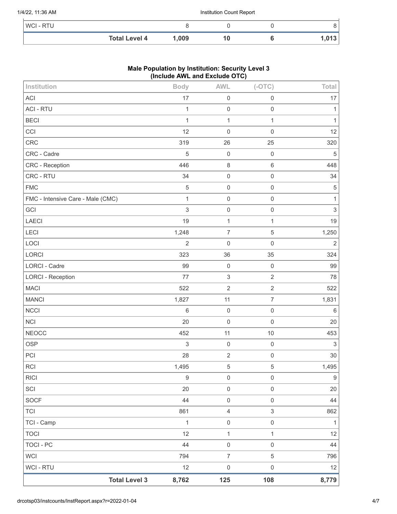#### 1/4/22, 11:36 AM Institution Count Report

| WCI - RTU |                      |       |  |    |
|-----------|----------------------|-------|--|----|
|           | <b>Total Level 4</b> | 1,009 |  | IJ |

## **Male Population by Institution: Security Level 3 (Include AWL and Exclude OTC)**

| Institution                       |                      | <b>Body</b>      | <b>AWL</b>          | $(-OTC)$            | Total            |
|-----------------------------------|----------------------|------------------|---------------------|---------------------|------------------|
| <b>ACI</b>                        |                      | 17               | $\mathbf 0$         | $\mathsf 0$         | 17               |
| <b>ACI - RTU</b>                  |                      | $\mathbf{1}$     | $\mathbf 0$         | $\mathbf 0$         | 1                |
| <b>BECI</b>                       |                      | $\mathbf{1}$     | $\mathbf{1}$        | $\mathbf{1}$        | 1                |
| CCI                               |                      | 12               | $\mathbf 0$         | $\mathbf 0$         | 12               |
| CRC                               |                      | 319              | 26                  | 25                  | 320              |
| CRC - Cadre                       |                      | 5                | $\mathbf 0$         | $\mathbf 0$         | $\sqrt{5}$       |
| CRC - Reception                   |                      | 446              | $\,8\,$             | $\,6\,$             | 448              |
| CRC - RTU                         |                      | 34               | $\mathbf 0$         | $\mathbf 0$         | 34               |
| <b>FMC</b>                        |                      | 5                | $\mathbf 0$         | $\mathbf 0$         | 5                |
| FMC - Intensive Care - Male (CMC) |                      | $\mathbf{1}$     | $\mathbf 0$         | $\mathsf 0$         | 1                |
| GCI                               |                      | $\mathfrak{S}$   | $\mathbf 0$         | $\mathsf{O}\xspace$ | 3                |
| LAECI                             |                      | 19               | $\mathbf{1}$        | $\mathbf{1}$        | 19               |
| LECI                              |                      | 1,248            | $\boldsymbol{7}$    | 5                   | 1,250            |
| LOCI                              |                      | $\overline{2}$   | $\mathbf 0$         | $\mathsf 0$         | $\mathbf 2$      |
| LORCI                             |                      | 323              | 36                  | 35                  | 324              |
| <b>LORCI - Cadre</b>              |                      | 99               | $\mathbf 0$         | $\mathbf 0$         | 99               |
| <b>LORCI - Reception</b>          |                      | 77               | $\sqrt{3}$          | $\overline{c}$      | 78               |
| <b>MACI</b>                       |                      | 522              | $\sqrt{2}$          | $\mathbf{2}$        | 522              |
| <b>MANCI</b>                      |                      | 1,827            | 11                  | $\overline{7}$      | 1,831            |
| <b>NCCI</b>                       |                      | $6\,$            | $\mathbf 0$         | $\mathsf 0$         | 6                |
| <b>NCI</b>                        |                      | 20               | $\mathbf 0$         | $\mathbf 0$         | 20               |
| <b>NEOCC</b>                      |                      | 452              | 11                  | 10                  | 453              |
| <b>OSP</b>                        |                      | $\,$ 3 $\,$      | $\mathbf 0$         | $\mathbf 0$         | $\mathfrak{S}$   |
| PCI                               |                      | 28               | $\sqrt{2}$          | $\mathbf 0$         | 30               |
| <b>RCI</b>                        |                      | 1,495            | $\sqrt{5}$          | 5                   | 1,495            |
| <b>RICI</b>                       |                      | $\boldsymbol{9}$ | $\mathbf 0$         | $\mathsf{O}\xspace$ | $\boldsymbol{9}$ |
| SCI                               |                      | 20               | $\mathbf 0$         | $\mathsf{O}\xspace$ | 20               |
| <b>SOCF</b>                       |                      | 44               | $\mathbf 0$         | $\mathsf{O}\xspace$ | 44               |
| <b>TCI</b>                        |                      | 861              | $\overline{4}$      | $\mathfrak{S}$      | 862              |
| TCI - Camp                        |                      | $\mathbf{1}$     | $\mathsf{O}\xspace$ | $\,0\,$             | $\mathbf{1}$     |
| <b>TOCI</b>                       |                      | 12               | $\mathbf{1}$        | $\mathbf{1}$        | 12               |
| <b>TOCI - PC</b>                  |                      | 44               | $\mathbf 0$         | $\mathsf{O}\xspace$ | 44               |
| <b>WCI</b>                        |                      | 794              | $\overline{7}$      | 5                   | 796              |
| WCI - RTU                         |                      | 12               | $\mathsf{O}\xspace$ | $\mathsf{O}\xspace$ | 12               |
|                                   | <b>Total Level 3</b> | 8,762            | 125                 | 108                 | 8,779            |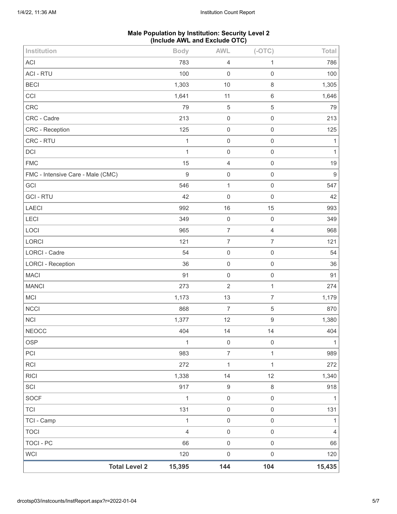#### **Male Population by Institution: Security Level 2 (Include AWL and Exclude OTC)**

| <b>Total Level 2</b>              | 15,395         | 144                 | 104                 | 15,435           |
|-----------------------------------|----------------|---------------------|---------------------|------------------|
| <b>WCI</b>                        | 120            | $\mathbf 0$         | $\mathsf{O}\xspace$ | 120              |
| <b>TOCI - PC</b>                  | 66             | $\mathsf 0$         | $\mathsf{O}\xspace$ | 66               |
| <b>TOCI</b>                       | $\overline{4}$ | $\mathbf 0$         | $\mathsf{O}\xspace$ | $\overline{4}$   |
| TCI - Camp                        | $\mathbf{1}$   | $\mathbf 0$         | $\mathsf{O}\xspace$ | 1                |
| <b>TCI</b>                        | 131            | $\mathbf 0$         | $\mathsf{O}\xspace$ | 131              |
| <b>SOCF</b>                       | 1              | $\mathbf 0$         | $\mathsf{O}\xspace$ | $\mathbf{1}$     |
| SCI                               | 917            | $\boldsymbol{9}$    | $\,8\,$             | 918              |
| <b>RICI</b>                       | 1,338          | 14                  | 12                  | 1,340            |
| <b>RCI</b>                        | 272            | $\mathbf{1}$        | $\mathbf{1}$        | 272              |
| PCI                               | 983            | $\overline{7}$      | $\mathbf{1}$        | 989              |
| <b>OSP</b>                        | 1              | $\mathbf 0$         | $\mathsf{O}\xspace$ | $\mathbf{1}$     |
| <b>NEOCC</b>                      | 404            | 14                  | 14                  | 404              |
| <b>NCI</b>                        | 1,377          | 12                  | $\boldsymbol{9}$    | 1,380            |
| <b>NCCI</b>                       | 868            | $\overline{7}$      | $\,$ 5 $\,$         | 870              |
| MCI                               | 1,173          | 13                  | $\overline{7}$      | 1,179            |
| <b>MANCI</b>                      | 273            | $\sqrt{2}$          | $\mathbf{1}$        | 274              |
| <b>MACI</b>                       | 91             | $\mathsf 0$         | $\mathsf 0$         | 91               |
| <b>LORCI - Reception</b>          | 36             | $\mathbf 0$         | $\mathsf{O}\xspace$ | 36               |
| <b>LORCI - Cadre</b>              | 54             | $\mathbf 0$         | $\mathsf 0$         | 54               |
| LORCI                             | 121            | $\boldsymbol{7}$    | $\overline{7}$      | 121              |
| LOCI                              | 965            | $\boldsymbol{7}$    | $\overline{4}$      | 968              |
| LECI                              | 349            | $\,0\,$             | $\mathsf 0$         | 349              |
| LAECI                             | 992            | 16                  | 15                  | 993              |
| <b>GCI - RTU</b>                  | 42             | $\mathbf 0$         | $\mathsf 0$         | 42               |
| GCI                               | 546            | $\mathbf 1$         | $\mathsf 0$         | 547              |
| FMC - Intensive Care - Male (CMC) | $\mathsf g$    | $\mathsf 0$         | $\mathsf 0$         | $\boldsymbol{9}$ |
| <b>FMC</b>                        | 15             | $\overline{4}$      | $\mathsf 0$         | 19               |
| DCI                               | $\mathbf{1}$   | $\mathbf 0$         | $\mathsf 0$         | $\mathbf{1}$     |
| CRC - RTU                         | $\mathbf{1}$   | $\mathbf 0$         | $\mathsf 0$         | $\mathbf{1}$     |
| <b>CRC</b> - Reception            | 125            | $\mathsf{O}\xspace$ | $\mathsf 0$         | 125              |
| CRC - Cadre                       | 213            | $\mathbf 0$         | $\mathsf 0$         | 213              |
| CRC                               | 79             | $\mathbf 5$         | $\mathbf 5$         | 79               |
| CCI                               | 1,641          | 11                  | $\,6\,$             | 1,646            |
| <b>BECI</b>                       | 1,303          | 10                  | $\,8\,$             | 1,305            |
| <b>ACI - RTU</b>                  | 100            | $\mathbf 0$         | $\mathsf 0$         | 100              |
| <b>ACI</b>                        | 783            | $\overline{4}$      | 1                   | 786              |
| Institution                       | <b>Body</b>    | <b>AWL</b>          | $(-OTC)$            | Total            |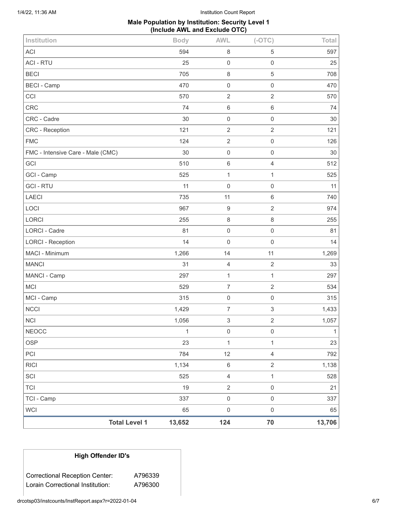1/4/22, 11:36 AM Institution Count Report

### **Male Population by Institution: Security Level 1 (Include AWL and Exclude OTC)**

| Institution                       | <b>Body</b>                    | <b>AWL</b>          | $(-OTC)$                  | Total        |
|-----------------------------------|--------------------------------|---------------------|---------------------------|--------------|
| <b>ACI</b>                        | 594                            | $\, 8$              | $\mathbf 5$               | 597          |
| <b>ACI - RTU</b>                  | 25                             | $\mathbf 0$         | $\mathsf{O}\xspace$       | 25           |
| <b>BECI</b>                       | 705                            | 8                   | 5                         | 708          |
| <b>BECI - Camp</b>                | 470                            | $\mathbf 0$         | $\mathsf{O}\xspace$       | 470          |
| CCI                               | 570                            | $\overline{2}$      | $\overline{2}$            | 570          |
| <b>CRC</b>                        | 74                             | $\,6\,$             | $\,6\,$                   | 74           |
| CRC - Cadre                       | 30                             | $\mathbf 0$         | $\mathsf{O}\xspace$       | 30           |
| CRC - Reception                   | 121                            | $\sqrt{2}$          | $\overline{2}$            | 121          |
| <b>FMC</b>                        | 124                            | $\sqrt{2}$          | $\mathsf{O}\xspace$       | 126          |
| FMC - Intensive Care - Male (CMC) | 30                             | $\mathbf 0$         | $\mathsf{O}\xspace$       | 30           |
| GCI                               | 510                            | 6                   | $\overline{4}$            | 512          |
| GCI - Camp                        | 525                            | $\mathbf{1}$        | $\mathbf{1}$              | 525          |
| <b>GCI-RTU</b>                    | 11                             | $\mathbf 0$         | $\mathsf{O}\xspace$       | 11           |
| <b>LAECI</b>                      | 735                            | 11                  | $\,6\,$                   | 740          |
| LOCI                              | 967                            | $\boldsymbol{9}$    | $\overline{2}$            | 974          |
| LORCI                             | 255                            | $\,8\,$             | $\,8\,$                   | 255          |
| LORCI - Cadre                     | 81                             | $\mathbf 0$         | $\,0\,$                   | 81           |
| <b>LORCI - Reception</b>          | 14                             | $\mathbf 0$         | $\mathsf{O}\xspace$       | 14           |
| MACI - Minimum                    | 1,266                          | 14                  | 11                        | 1,269        |
| <b>MANCI</b>                      | 31                             | $\overline{4}$      | $\overline{2}$            | 33           |
| MANCI - Camp                      | 297                            | $\mathbf{1}$        | $\mathbf{1}$              | 297          |
| MCI                               | 529                            | $\overline{7}$      | $\overline{2}$            | 534          |
| MCI - Camp                        | 315                            | $\mathbf 0$         | $\mathsf{O}\xspace$       | 315          |
| <b>NCCI</b>                       | 1,429                          | $\boldsymbol{7}$    | $\ensuremath{\mathsf{3}}$ | 1,433        |
| <b>NCI</b>                        | 1,056                          | 3                   | $\overline{2}$            | 1,057        |
| <b>NEOCC</b>                      | $\mathbf{1}$                   | $\mathsf 0$         | $\mathsf{O}\xspace$       | $\mathbf{1}$ |
| <b>OSP</b>                        | 23                             | $\mathbf{1}$        | $\mathbf{1}$              | 23           |
| PCI                               | 784                            | 12                  | $\overline{4}$            | 792          |
| <b>RICI</b>                       | 1,134                          | 6                   | $\overline{2}$            | 1,138        |
| SCI                               | 525                            | $\overline{4}$      | $\mathbf{1}$              | 528          |
| <b>TCI</b>                        | 19                             | $\mathbf{2}$        | $\mathsf{O}\xspace$       | 21           |
| TCI - Camp                        | 337                            | $\mathsf{O}\xspace$ | $\mathsf{O}\xspace$       | 337          |
| <b>WCI</b>                        | 65                             | $\mathsf 0$         | $\mathsf{O}\xspace$       | 65           |
|                                   | <b>Total Level 1</b><br>13,652 | 124                 | 70                        | 13,706       |

# **High Offender ID's**

Correctional Reception Center: A796339 Lorain Correctional Institution: A796300